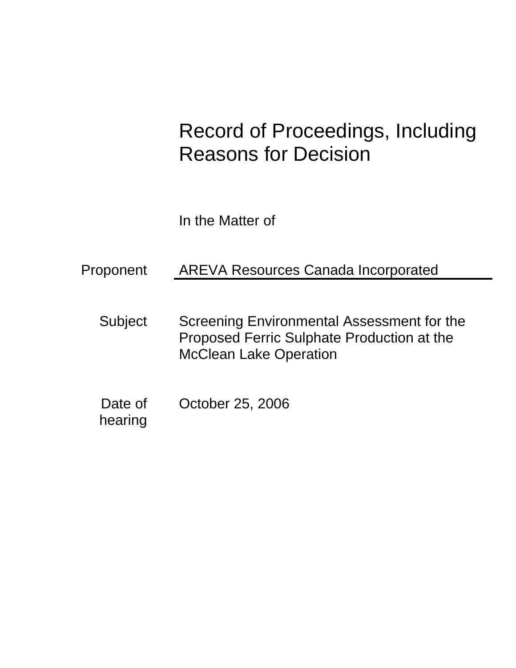# Record of Proceedings, Including Reasons for Decision

In the Matter of

# Proponent AREVA Resources Canada Incorporated

- Subject Screening Environmental Assessment for the Proposed Ferric Sulphate Production at the McClean Lake Operation
- Date of October 25, 2006 hearing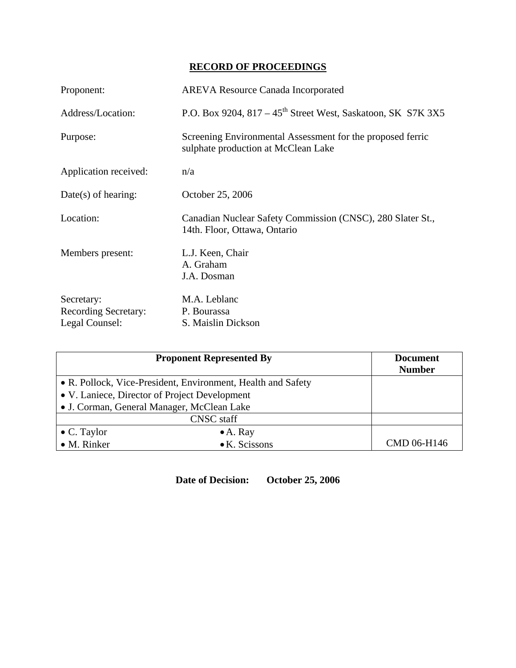## **RECORD OF PROCEEDINGS**

| Proponent:                                                  | <b>AREVA Resource Canada Incorporated</b>                                                         |
|-------------------------------------------------------------|---------------------------------------------------------------------------------------------------|
| Address/Location:                                           | P.O. Box 9204, $817 - 45$ <sup>th</sup> Street West, Saskatoon, SK S7K 3X5                        |
| Purpose:                                                    | Screening Environmental Assessment for the proposed ferric<br>sulphate production at McClean Lake |
| Application received:                                       | n/a                                                                                               |
| $Date(s)$ of hearing:                                       | October 25, 2006                                                                                  |
| Location:                                                   | Canadian Nuclear Safety Commission (CNSC), 280 Slater St.,<br>14th. Floor, Ottawa, Ontario        |
| Members present:                                            | L.J. Keen, Chair<br>A. Graham<br>J.A. Dosman                                                      |
| Secretary:<br><b>Recording Secretary:</b><br>Legal Counsel: | M.A. Leblanc<br>P. Bourassa<br>S. Maislin Dickson                                                 |

| <b>Proponent Represented By</b>                              |                       | <b>Document</b><br><b>Number</b> |
|--------------------------------------------------------------|-----------------------|----------------------------------|
| • R. Pollock, Vice-President, Environment, Health and Safety |                       |                                  |
| • V. Laniece, Director of Project Development                |                       |                                  |
| • J. Corman, General Manager, McClean Lake                   |                       |                                  |
| <b>CNSC</b> staff                                            |                       |                                  |
| $\bullet$ C. Taylor                                          | $\bullet$ A. Ray      |                                  |
| • M. Rinker                                                  | $\bullet$ K. Scissons | CMD 06-H146                      |

**Date of Decision: October 25, 2006**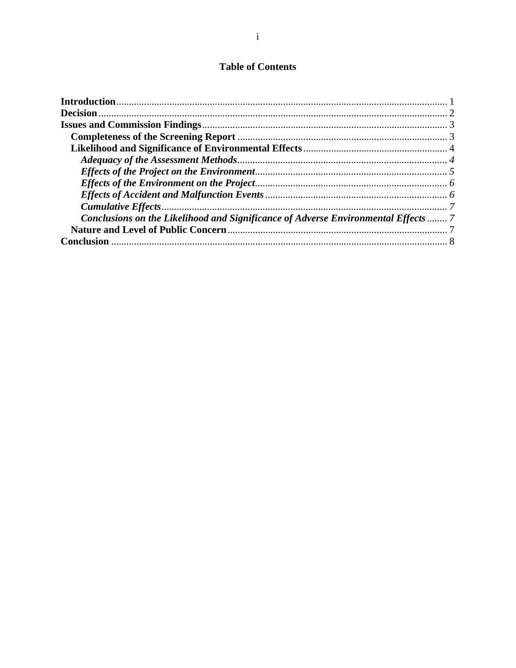### **Table of Contents**

| Conclusions on the Likelihood and Significance of Adverse Environmental Effects  7 |  |
|------------------------------------------------------------------------------------|--|
|                                                                                    |  |
|                                                                                    |  |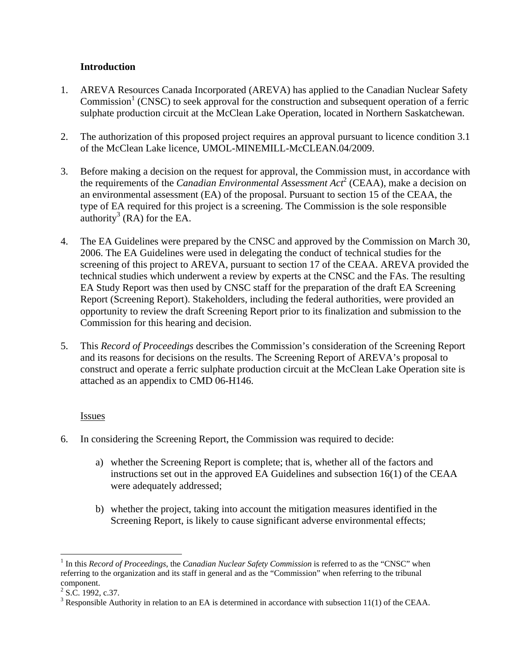#### **Introduction**

- 1. AREVA Resources Canada Incorporated (AREVA) has applied to the Canadian Nuclear Safety  $Commission<sup>1</sup>$  (CNSC) to seek approval for the construction and subsequent operation of a ferric sulphate production circuit at the McClean Lake Operation, located in Northern Saskatchewan.
- 2. The authorization of this proposed project requires an approval pursuant to licence condition 3.1 of the McClean Lake licence, UMOL-MINEMILL-McCLEAN.04/2009.
- 3. Before making a decision on the request for approval, the Commission must, in accordance with the requirements of the *Canadian Environmental Assessment Act*<sup>2</sup> (CEAA), make a decision on an environmental assessment (EA) of the proposal. Pursuant to section 15 of the CEAA, the type of EA required for this project is a screening. The Commission is the sole responsible  $\frac{1}{2}$  (RA) for the EA.
- 4. The EA Guidelines were prepared by the CNSC and approved by the Commission on March 30, 2006. The EA Guidelines were used in delegating the conduct of technical studies for the screening of this project to AREVA, pursuant to section 17 of the CEAA. AREVA provided the technical studies which underwent a review by experts at the CNSC and the FAs. The resulting EA Study Report was then used by CNSC staff for the preparation of the draft EA Screening Report (Screening Report). Stakeholders, including the federal authorities, were provided an opportunity to review the draft Screening Report prior to its finalization and submission to the Commission for this hearing and decision.
- 5. This *Record of Proceedings* describes the Commission's consideration of the Screening Report and its reasons for decisions on the results. The Screening Report of AREVA's proposal to construct and operate a ferric sulphate production circuit at the McClean Lake Operation site is attached as an appendix to CMD 06-H146.

#### Issues

- 6. In considering the Screening Report, the Commission was required to decide:
	- a) whether the Screening Report is complete; that is, whether all of the factors and instructions set out in the approved EA Guidelines and subsection 16(1) of the CEAA were adequately addressed;
	- b) whether the project, taking into account the mitigation measures identified in the Screening Report, is likely to cause significant adverse environmental effects;

1

<sup>&</sup>lt;sup>1</sup> In this *Record of Proceedings*, the *Canadian Nuclear Safety Commission* is referred to as the "CNSC" when referring to the organization and its staff in general and as the "Commission" when referring to the tribunal component.

 $2$  S.C. 1992, c.37.

<sup>&</sup>lt;sup>3</sup> Responsible Authority in relation to an EA is determined in accordance with subsection  $11(1)$  of the CEAA.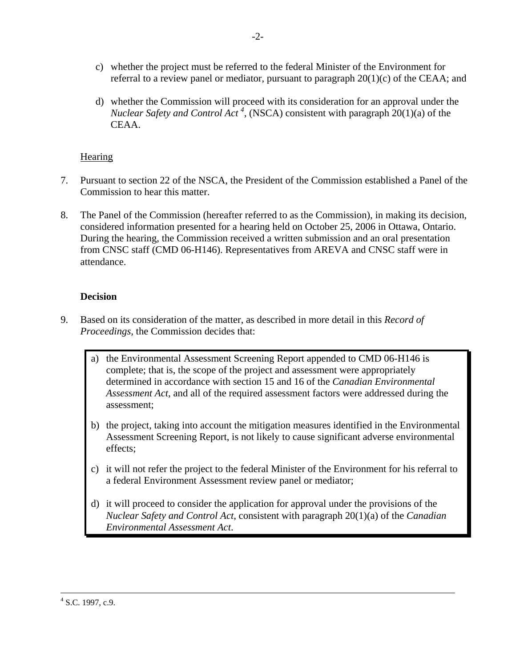- c) whether the project must be referred to the federal Minister of the Environment for referral to a review panel or mediator, pursuant to paragraph  $20(1)(c)$  of the CEAA; and
- d) whether the Commission will proceed with its consideration for an approval under the *Nuclear Safety and Control Act<sup>4</sup>*, (NSCA) consistent with paragraph 20(1)(a) of the CEAA.

#### **Hearing**

- 7. Pursuant to section 22 of the NSCA, the President of the Commission established a Panel of the Commission to hear this matter.
- 8. The Panel of the Commission (hereafter referred to as the Commission), in making its decision, considered information presented for a hearing held on October 25, 2006 in Ottawa, Ontario. During the hearing, the Commission received a written submission and an oral presentation from CNSC staff (CMD 06-H146). Representatives from AREVA and CNSC staff were in attendance.

#### **Decision**

- 9. Based on its consideration of the matter, as described in more detail in this *Record of Proceedings,* the Commission decides that:
	- a) the Environmental Assessment Screening Report appended to CMD 06-H146 is complete; that is, the scope of the project and assessment were appropriately determined in accordance with section 15 and 16 of the *Canadian Environmental Assessment Act*, and all of the required assessment factors were addressed during the assessment;
	- b) the project, taking into account the mitigation measures identified in the Environmental Assessment Screening Report, is not likely to cause significant adverse environmental effects;
	- c) it will not refer the project to the federal Minister of the Environment for his referral to a federal Environment Assessment review panel or mediator;
	- d) it will proceed to consider the application for approval under the provisions of the *Nuclear Safety and Control Act*, consistent with paragraph 20(1)(a) of the *Canadian Environmental Assessment Act*.

 $\frac{1}{4}$  $4$  S.C. 1997, c.9.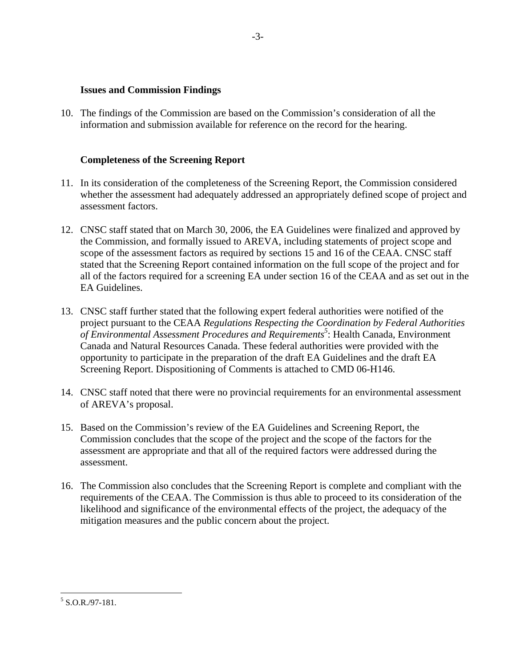#### **Issues and Commission Findings**

10. The findings of the Commission are based on the Commission's consideration of all the information and submission available for reference on the record for the hearing.

#### **Completeness of the Screening Report**

- 11. In its consideration of the completeness of the Screening Report, the Commission considered whether the assessment had adequately addressed an appropriately defined scope of project and assessment factors.
- 12. CNSC staff stated that on March 30, 2006, the EA Guidelines were finalized and approved by the Commission, and formally issued to AREVA, including statements of project scope and scope of the assessment factors as required by sections 15 and 16 of the CEAA. CNSC staff stated that the Screening Report contained information on the full scope of the project and for all of the factors required for a screening EA under section 16 of the CEAA and as set out in the EA Guidelines.
- 13. CNSC staff further stated that the following expert federal authorities were notified of the project pursuant to the CEAA *Regulations Respecting the Coordination by Federal Authorities*  of Environmental Assessment Procedures and Requirements<sup>5</sup>: Health Canada, Environment Canada and Natural Resources Canada. These federal authorities were provided with the opportunity to participate in the preparation of the draft EA Guidelines and the draft EA Screening Report. Dispositioning of Comments is attached to CMD 06-H146.
- 14. CNSC staff noted that there were no provincial requirements for an environmental assessment of AREVA's proposal.
- 15. Based on the Commission's review of the EA Guidelines and Screening Report, the Commission concludes that the scope of the project and the scope of the factors for the assessment are appropriate and that all of the required factors were addressed during the assessment.
- 16. The Commission also concludes that the Screening Report is complete and compliant with the requirements of the CEAA. The Commission is thus able to proceed to its consideration of the likelihood and significance of the environmental effects of the project, the adequacy of the mitigation measures and the public concern about the project.

 $5$  S.O.R./97-181.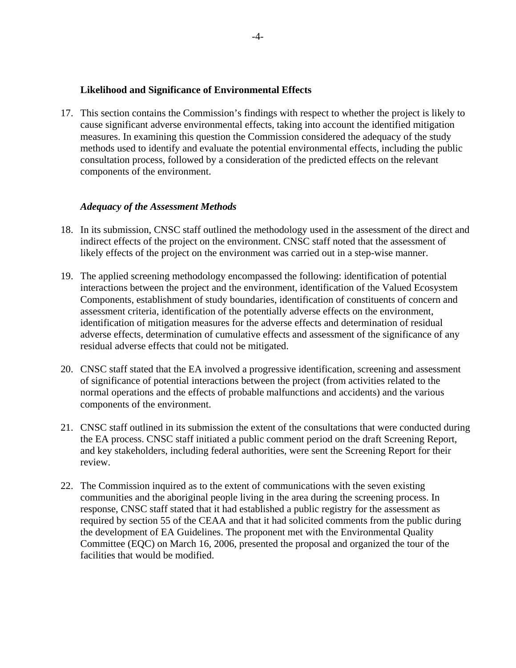#### **Likelihood and Significance of Environmental Effects**

17. This section contains the Commission's findings with respect to whether the project is likely to cause significant adverse environmental effects, taking into account the identified mitigation measures. In examining this question the Commission considered the adequacy of the study methods used to identify and evaluate the potential environmental effects, including the public consultation process, followed by a consideration of the predicted effects on the relevant components of the environment.

#### *Adequacy of the Assessment Methods*

- 18. In its submission, CNSC staff outlined the methodology used in the assessment of the direct and indirect effects of the project on the environment. CNSC staff noted that the assessment of likely effects of the project on the environment was carried out in a step-wise manner.
- 19. The applied screening methodology encompassed the following: identification of potential interactions between the project and the environment, identification of the Valued Ecosystem Components, establishment of study boundaries, identification of constituents of concern and assessment criteria, identification of the potentially adverse effects on the environment, identification of mitigation measures for the adverse effects and determination of residual adverse effects, determination of cumulative effects and assessment of the significance of any residual adverse effects that could not be mitigated.
- 20. CNSC staff stated that the EA involved a progressive identification, screening and assessment of significance of potential interactions between the project (from activities related to the normal operations and the effects of probable malfunctions and accidents) and the various components of the environment.
- 21. CNSC staff outlined in its submission the extent of the consultations that were conducted during the EA process. CNSC staff initiated a public comment period on the draft Screening Report, and key stakeholders, including federal authorities, were sent the Screening Report for their review.
- 22. The Commission inquired as to the extent of communications with the seven existing communities and the aboriginal people living in the area during the screening process. In response, CNSC staff stated that it had established a public registry for the assessment as required by section 55 of the CEAA and that it had solicited comments from the public during the development of EA Guidelines. The proponent met with the Environmental Quality Committee (EQC) on March 16, 2006, presented the proposal and organized the tour of the facilities that would be modified.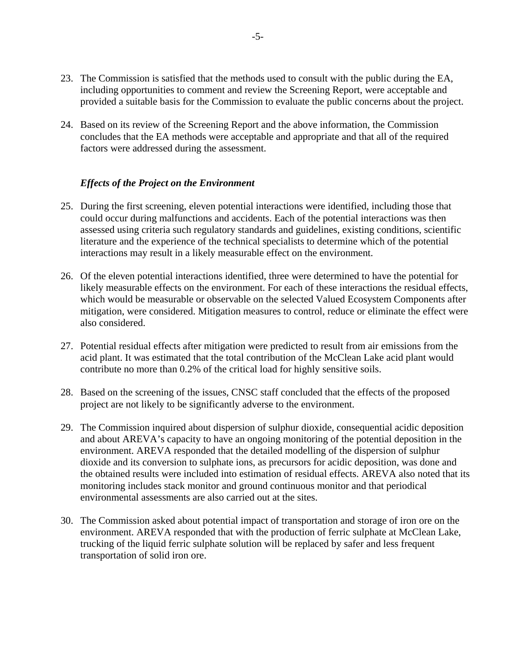- 23. The Commission is satisfied that the methods used to consult with the public during the EA, including opportunities to comment and review the Screening Report, were acceptable and provided a suitable basis for the Commission to evaluate the public concerns about the project.
- 24. Based on its review of the Screening Report and the above information, the Commission concludes that the EA methods were acceptable and appropriate and that all of the required factors were addressed during the assessment.

#### *Effects of the Project on the Environment*

- 25. During the first screening, eleven potential interactions were identified, including those that could occur during malfunctions and accidents. Each of the potential interactions was then assessed using criteria such regulatory standards and guidelines, existing conditions, scientific literature and the experience of the technical specialists to determine which of the potential interactions may result in a likely measurable effect on the environment.
- 26. Of the eleven potential interactions identified, three were determined to have the potential for likely measurable effects on the environment. For each of these interactions the residual effects, which would be measurable or observable on the selected Valued Ecosystem Components after mitigation, were considered. Mitigation measures to control, reduce or eliminate the effect were also considered.
- 27. Potential residual effects after mitigation were predicted to result from air emissions from the acid plant. It was estimated that the total contribution of the McClean Lake acid plant would contribute no more than 0.2% of the critical load for highly sensitive soils.
- 28. Based on the screening of the issues, CNSC staff concluded that the effects of the proposed project are not likely to be significantly adverse to the environment.
- 29. The Commission inquired about dispersion of sulphur dioxide, consequential acidic deposition and about AREVA's capacity to have an ongoing monitoring of the potential deposition in the environment. AREVA responded that the detailed modelling of the dispersion of sulphur dioxide and its conversion to sulphate ions, as precursors for acidic deposition, was done and the obtained results were included into estimation of residual effects. AREVA also noted that its monitoring includes stack monitor and ground continuous monitor and that periodical environmental assessments are also carried out at the sites.
- 30. The Commission asked about potential impact of transportation and storage of iron ore on the environment. AREVA responded that with the production of ferric sulphate at McClean Lake, trucking of the liquid ferric sulphate solution will be replaced by safer and less frequent transportation of solid iron ore.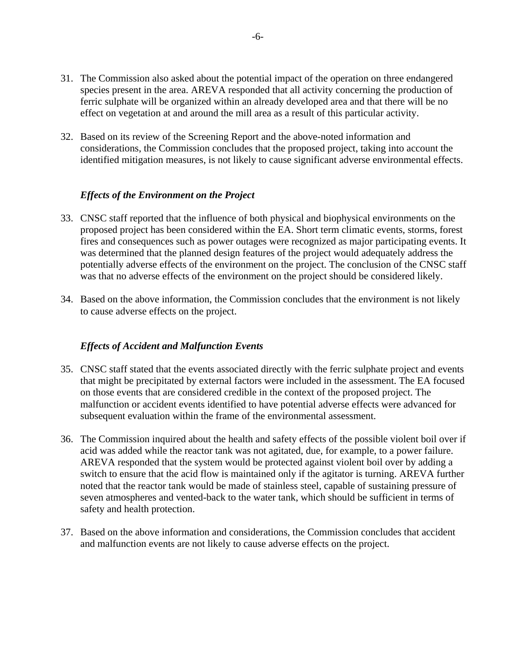- 31. The Commission also asked about the potential impact of the operation on three endangered species present in the area. AREVA responded that all activity concerning the production of ferric sulphate will be organized within an already developed area and that there will be no effect on vegetation at and around the mill area as a result of this particular activity.
- 32. Based on its review of the Screening Report and the above-noted information and considerations, the Commission concludes that the proposed project, taking into account the identified mitigation measures, is not likely to cause significant adverse environmental effects.

#### *Effects of the Environment on the Project*

- 33. CNSC staff reported that the influence of both physical and biophysical environments on the proposed project has been considered within the EA. Short term climatic events, storms, forest fires and consequences such as power outages were recognized as major participating events. It was determined that the planned design features of the project would adequately address the potentially adverse effects of the environment on the project. The conclusion of the CNSC staff was that no adverse effects of the environment on the project should be considered likely.
- 34. Based on the above information, the Commission concludes that the environment is not likely to cause adverse effects on the project.

#### *Effects of Accident and Malfunction Events*

- 35. CNSC staff stated that the events associated directly with the ferric sulphate project and events that might be precipitated by external factors were included in the assessment. The EA focused on those events that are considered credible in the context of the proposed project. The malfunction or accident events identified to have potential adverse effects were advanced for subsequent evaluation within the frame of the environmental assessment.
- 36. The Commission inquired about the health and safety effects of the possible violent boil over if acid was added while the reactor tank was not agitated, due, for example, to a power failure. AREVA responded that the system would be protected against violent boil over by adding a switch to ensure that the acid flow is maintained only if the agitator is turning. AREVA further noted that the reactor tank would be made of stainless steel, capable of sustaining pressure of seven atmospheres and vented-back to the water tank, which should be sufficient in terms of safety and health protection.
- 37. Based on the above information and considerations, the Commission concludes that accident and malfunction events are not likely to cause adverse effects on the project.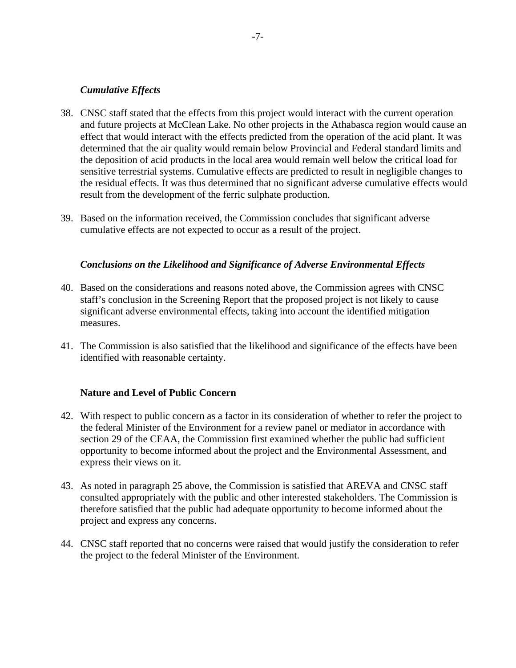#### *Cumulative Effects*

- 38. CNSC staff stated that the effects from this project would interact with the current operation and future projects at McClean Lake. No other projects in the Athabasca region would cause an effect that would interact with the effects predicted from the operation of the acid plant. It was determined that the air quality would remain below Provincial and Federal standard limits and the deposition of acid products in the local area would remain well below the critical load for sensitive terrestrial systems. Cumulative effects are predicted to result in negligible changes to the residual effects. It was thus determined that no significant adverse cumulative effects would result from the development of the ferric sulphate production.
- 39. Based on the information received, the Commission concludes that significant adverse cumulative effects are not expected to occur as a result of the project.

#### *Conclusions on the Likelihood and Significance of Adverse Environmental Effects*

- 40. Based on the considerations and reasons noted above, the Commission agrees with CNSC staff's conclusion in the Screening Report that the proposed project is not likely to cause significant adverse environmental effects, taking into account the identified mitigation measures.
- 41. The Commission is also satisfied that the likelihood and significance of the effects have been identified with reasonable certainty.

#### **Nature and Level of Public Concern**

- 42. With respect to public concern as a factor in its consideration of whether to refer the project to the federal Minister of the Environment for a review panel or mediator in accordance with section 29 of the CEAA, the Commission first examined whether the public had sufficient opportunity to become informed about the project and the Environmental Assessment, and express their views on it.
- 43. As noted in paragraph 25 above, the Commission is satisfied that AREVA and CNSC staff consulted appropriately with the public and other interested stakeholders. The Commission is therefore satisfied that the public had adequate opportunity to become informed about the project and express any concerns.
- 44. CNSC staff reported that no concerns were raised that would justify the consideration to refer the project to the federal Minister of the Environment.